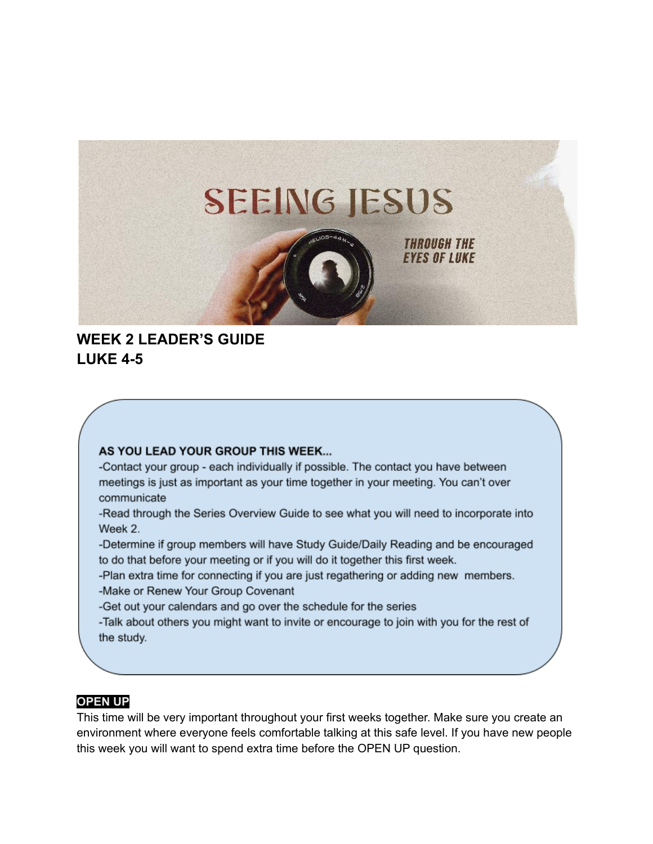

# **WEEK 2 LEADER'S GUIDE LUKE 4-5**

#### AS YOU LEAD YOUR GROUP THIS WEEK...

-Contact your group - each individually if possible. The contact you have between meetings is just as important as your time together in your meeting. You can't over communicate

-Read through the Series Overview Guide to see what you will need to incorporate into Week 2.

-Determine if group members will have Study Guide/Daily Reading and be encouraged to do that before your meeting or if you will do it together this first week.

-Plan extra time for connecting if you are just regathering or adding new members.

-Make or Renew Your Group Covenant

-Get out your calendars and go over the schedule for the series

-Talk about others you might want to invite or encourage to join with you for the rest of the study.

### **OPEN UP**

This time will be very important throughout your first weeks together. Make sure you create an environment where everyone feels comfortable talking at this safe level. If you have new people this week you will want to spend extra time before the OPEN UP question.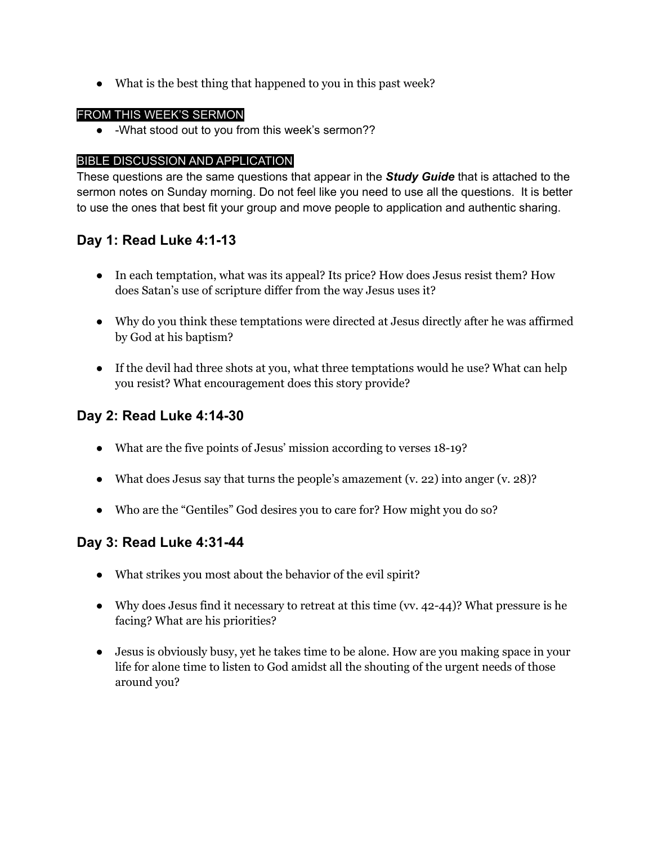**●** What is the best thing that happened to you in this past week?

#### FROM THIS WEEK'S SERMON

• -What stood out to you from this week's sermon??

#### BIBLE DISCUSSION AND APPLICATION

These questions are the same questions that appear in the *Study Guide* that is attached to the sermon notes on Sunday morning. Do not feel like you need to use all the questions. It is better to use the ones that best fit your group and move people to application and authentic sharing.

# **Day 1: Read Luke 4:1-13**

- In each temptation, what was its appeal? Its price? How does Jesus resist them? How does Satan's use of scripture differ from the way Jesus uses it?
- Why do you think these temptations were directed at Jesus directly after he was affirmed by God at his baptism?
- If the devil had three shots at you, what three temptations would he use? What can help you resist? What encouragement does this story provide?

# **Day 2: Read Luke 4:14-30**

- What are the five points of Jesus' mission according to verses 18-19?
- What does Jesus say that turns the people's amazement  $(v. 22)$  into anger  $(v. 28)$ ?
- Who are the "Gentiles" God desires you to care for? How might you do so?

### **Day 3: Read Luke 4:31-44**

- **●** What strikes you most about the behavior of the evil spirit?
- Why does Jesus find it necessary to retreat at this time (vv. 42-44)? What pressure is he facing? What are his priorities?
- **●** Jesus is obviously busy, yet he takes time to be alone. How are you making space in your life for alone time to listen to God amidst all the shouting of the urgent needs of those around you?